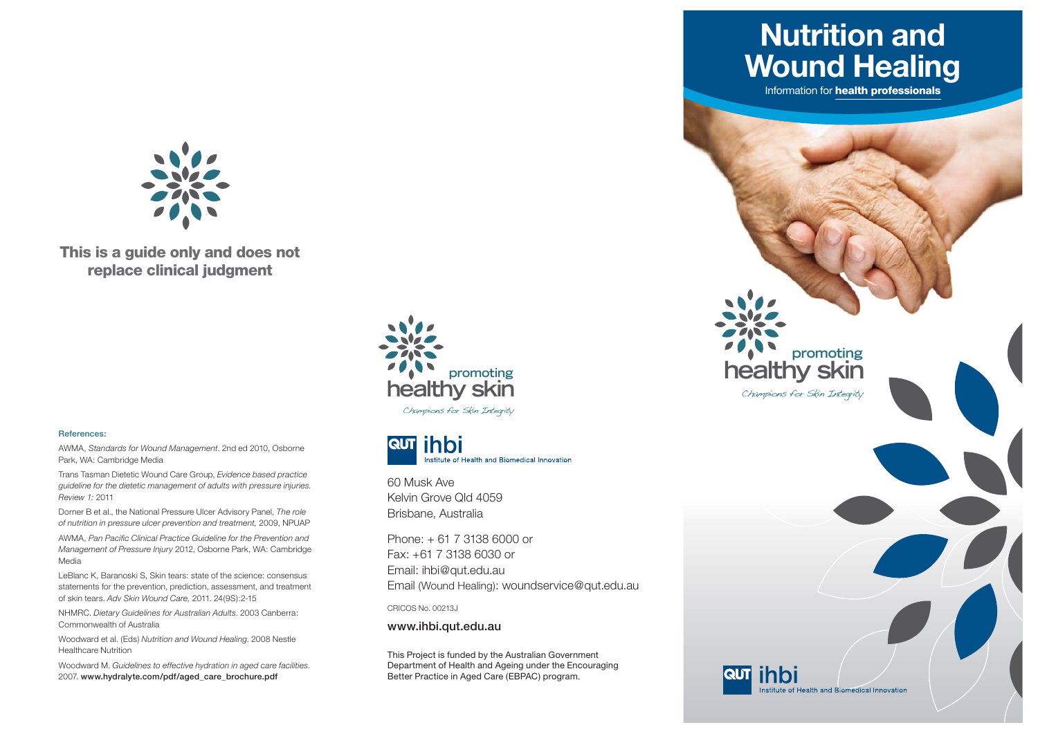

**This is a guide only and does not replace clinical judgment**

#### **References:**

AWMA, *Standards for Wound Management*. 2nd ed 2010, Osborne Park, WA: Cambridge Media

Trans Tasman Dietetic Wound Care Group, *Evidence based practice guideline for the dietetic management of adults with pressure injuries. Review 1:* 2011

Dorner B et al., the National Pressure Ulcer Advisory Panel, *The role of nutrition in pressure ulcer prevention and treatment,* 2009, NPUAP

AWMA, Pan Pacific Clinical Practice Guideline for the Prevention and *Management of Pressure Injury* 2012, Osborne Park, WA: Cambridge Media

LeBlanc K, Baranoski S, Skin tears: state of the science: consensus statements for the prevention, prediction, assessment, and treatment of skin tears. *Adv Skin Wound Care,* 2011. 24(9S):2-15

NHMRC. *Dietary Guidelines for Australian Adults*. 2003 Canberra: Commonwealth of Australia

Woodward et al. (Eds) *Nutrition and Wound Healing*. 2008 Nestle Healthcare Nutrition

Woodward M. *Guidelines to effective hydration in aged care facilities*. 2007. **www.hydralyte.com/pdf/aged\_care\_brochure.pdf** 



Champions for Skin Integrity



60 Musk Ave Kelvin Grove Qld 4059Brisbane, Australia

Phone: + 61 7 3138 6000 or Fax: +61 7 3138 6030 or Email: ihbi@qut.edu.au Email (Wound Healing): woundservice@qut.edu.au

CRICOS No. 00213J

**www.ihbi.qut.edu.au**

This Project is funded by the Australian Government Department of Health and Ageing under the Encouraging Better Practice in Aged Care (EBPAC) program.

**Nutrition andWound Healing**

Information for **health professionals**

**healthy skin**

**RUT Thin** 

Champions for Skin Integrity

**promoting**

Institute of Health and Biomedical Innovation